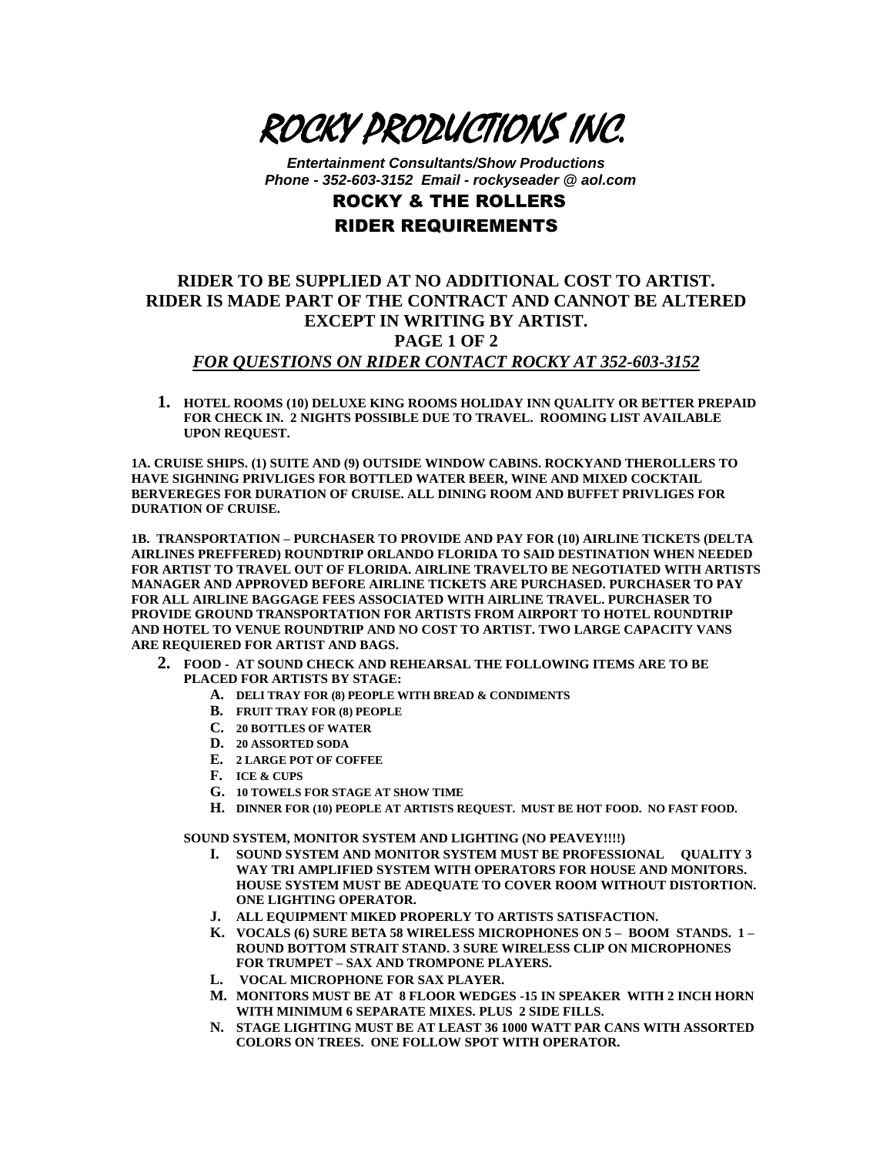

*Entertainment Consultants/Show Productions Phone - 352-603-3152 Email - rockyseader @ aol.com*

## ROCKY & THE ROLLERS RIDER REQUIREMENTS

## **RIDER TO BE SUPPLIED AT NO ADDITIONAL COST TO ARTIST. RIDER IS MADE PART OF THE CONTRACT AND CANNOT BE ALTERED EXCEPT IN WRITING BY ARTIST. PAGE 1 OF 2** *FOR QUESTIONS ON RIDER CONTACT ROCKY AT 352-603-3152*

**1. HOTEL ROOMS (10) DELUXE KING ROOMS HOLIDAY INN QUALITY OR BETTER PREPAID FOR CHECK IN. 2 NIGHTS POSSIBLE DUE TO TRAVEL. ROOMING LIST AVAILABLE UPON REQUEST.** 

**1A. CRUISE SHIPS. (1) SUITE AND (9) OUTSIDE WINDOW CABINS. ROCKYAND THEROLLERS TO HAVE SIGHNING PRIVLIGES FOR BOTTLED WATER BEER, WINE AND MIXED COCKTAIL BERVEREGES FOR DURATION OF CRUISE. ALL DINING ROOM AND BUFFET PRIVLIGES FOR DURATION OF CRUISE.**

**1B. TRANSPORTATION – PURCHASER TO PROVIDE AND PAY FOR (10) AIRLINE TICKETS (DELTA AIRLINES PREFFERED) ROUNDTRIP ORLANDO FLORIDA TO SAID DESTINATION WHEN NEEDED FOR ARTIST TO TRAVEL OUT OF FLORIDA. AIRLINE TRAVELTO BE NEGOTIATED WITH ARTISTS MANAGER AND APPROVED BEFORE AIRLINE TICKETS ARE PURCHASED. PURCHASER TO PAY FOR ALL AIRLINE BAGGAGE FEES ASSOCIATED WITH AIRLINE TRAVEL. PURCHASER TO PROVIDE GROUND TRANSPORTATION FOR ARTISTS FROM AIRPORT TO HOTEL ROUNDTRIP AND HOTEL TO VENUE ROUNDTRIP AND NO COST TO ARTIST. TWO LARGE CAPACITY VANS ARE REQUIERED FOR ARTIST AND BAGS.** 

- **2. FOOD AT SOUND CHECK AND REHEARSAL THE FOLLOWING ITEMS ARE TO BE PLACED FOR ARTISTS BY STAGE:**
	- **A. DELI TRAY FOR (8) PEOPLE WITH BREAD & CONDIMENTS**
	- **B. FRUIT TRAY FOR (8) PEOPLE**
	- **C. 20 BOTTLES OF WATER**
	- **D. 20 ASSORTED SODA**
	- **E. 2 LARGE POT OF COFFEE**
	- **F. ICE & CUPS**
	- **G. 10 TOWELS FOR STAGE AT SHOW TIME**
	- **H. DINNER FOR (10) PEOPLE AT ARTISTS REQUEST. MUST BE HOT FOOD. NO FAST FOOD.**

**SOUND SYSTEM, MONITOR SYSTEM AND LIGHTING (NO PEAVEY!!!!)**

- **I. SOUND SYSTEM AND MONITOR SYSTEM MUST BE PROFESSIONAL QUALITY 3 WAY TRI AMPLIFIED SYSTEM WITH OPERATORS FOR HOUSE AND MONITORS. HOUSE SYSTEM MUST BE ADEQUATE TO COVER ROOM WITHOUT DISTORTION. ONE LIGHTING OPERATOR.**
- **J. ALL EQUIPMENT MIKED PROPERLY TO ARTISTS SATISFACTION.**
- **K. VOCALS (6) SURE BETA 58 WIRELESS MICROPHONES ON 5 – BOOM STANDS. 1 – ROUND BOTTOM STRAIT STAND. 3 SURE WIRELESS CLIP ON MICROPHONES FOR TRUMPET – SAX AND TROMPONE PLAYERS.**
- **L. VOCAL MICROPHONE FOR SAX PLAYER.**
- **M. MONITORS MUST BE AT 8 FLOOR WEDGES -15 IN SPEAKER WITH 2 INCH HORN WITH MINIMUM 6 SEPARATE MIXES. PLUS 2 SIDE FILLS.**
- **N. STAGE LIGHTING MUST BE AT LEAST 36 1000 WATT PAR CANS WITH ASSORTED COLORS ON TREES. ONE FOLLOW SPOT WITH OPERATOR.**